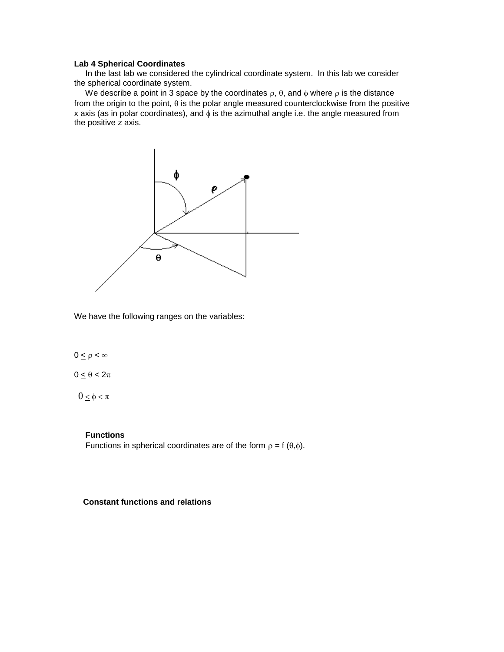### **Lab 4 Spherical Coordinates**

 In the last lab we considered the cylindrical coordinate system. In this lab we consider the spherical coordinate system.

We describe a point in 3 space by the coordinates  $\rho$ ,  $\theta$ , and  $\phi$  where  $\rho$  is the distance from the origin to the point,  $\theta$  is the polar angle measured counterclockwise from the positive x axis (as in polar coordinates), and  $\phi$  is the azimuthal angle i.e. the angle measured from the positive z axis.



We have the following ranges on the variables:

# $0 \le \rho < \infty$

 $0 \le \theta < 2\pi$ 

 $0 \leq \phi < \pi$ 

### **Functions**

Functions in spherical coordinates are of the form  $\rho = f(\theta,\phi)$ .

 **Constant functions and relations**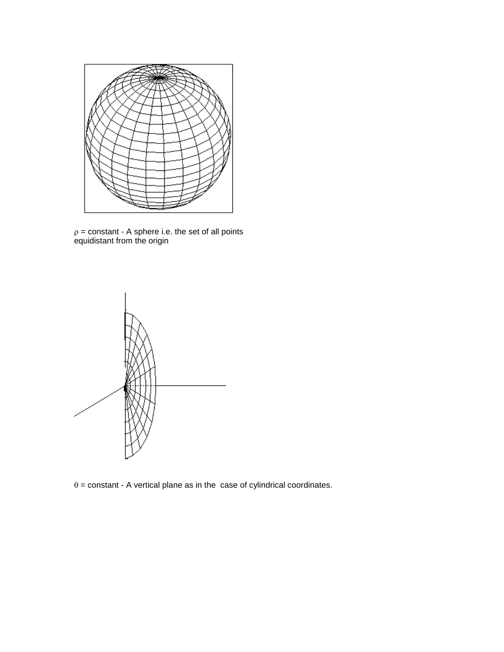

 $\rho$  = constant - A sphere i.e. the set of all points equidistant from the origin



 $\theta$  = constant - A vertical plane as in the case of cylindrical coordinates.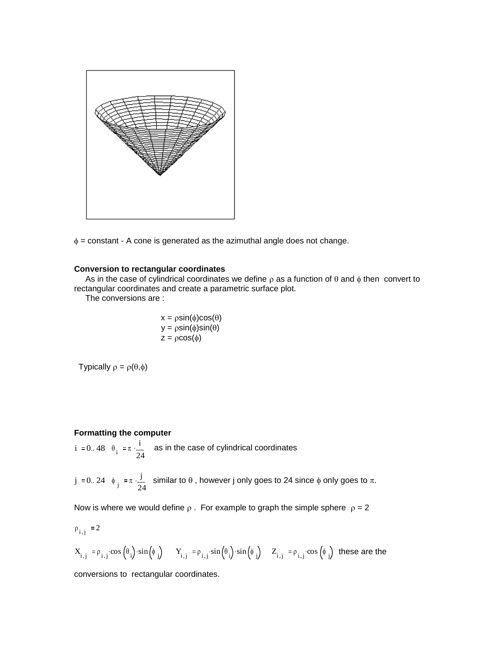

 $\phi$  = constant - A cone is generated as the azimuthal angle does not change.

#### **Conversion to rectangular coordinates**

As in the case of cylindrical coordinates we define  $\rho$  as a function of  $\theta$  and  $\phi$  then convert to rectangular coordinates and create a parametric surface plot.

The conversions are :

$$
x = \rho \sin(\phi)\cos(\theta)
$$
  

$$
y = \rho \sin(\phi)\sin(\theta)
$$
  

$$
z = \rho \cos(\phi)
$$

Typically  $\rho = \rho(\theta,\phi)$ 

## **Formatting the computer**

i := 0.. 48  $\theta_i$  :=  $\pi \cdot \frac{i}{2}$ 24  $\frac{1}{2}$  as in the case of cylindrical coordinates

j := 0.. 24  $\phi_j$  :=  $\pi \cdot \frac{j}{2}$ 24  $\frac{J}{\gamma}$  similar to  $\theta$ , however j only goes to 24 since  $\phi$  only goes to  $\pi$ .

Now is where we would define  $\rho$ . For example to graph the simple sphere  $\rho = 2$ 

$$
\rho_{i,j} \coloneqq 2
$$

$$
X_{i,j} := \rho_{i,j} \cdot \cos\left(\theta_i\right) \cdot \sin\left(\phi_j\right) \qquad Y_{i,j} := \rho_{i,j} \cdot \sin\left(\theta_i\right) \cdot \sin\left(\phi_j\right) \quad Z_{i,j} := \rho_{i,j} \cdot \cos\left(\phi_j\right) \text{ these are the}
$$

conversions to rectangular coordinates.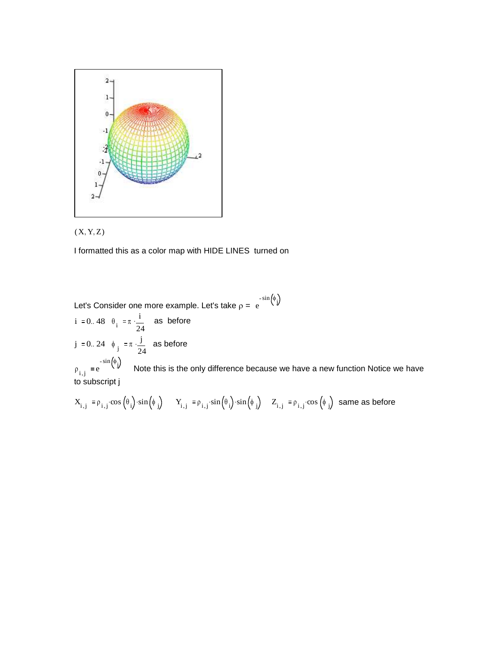



I formatted this as a color map with HIDE LINES turned on

Let's Consider one more example. Let's take  $\rho = \mathrm{e}^{\mathrm{ -sin} \left( \phi \right) }$ 

i := 0.. 48  $\theta_i$  :=  $\pi \cdot \frac{i}{2}$ 24  $\frac{1}{2}$  as before j := 0.. 24  $\phi_j$  :=  $\pi \cdot \frac{j}{2}$ 24  $\frac{1}{2}$  as before

 $\rho_{i,j}$  = e  $\begin{pmatrix} \phi_j \end{pmatrix}$  Note this is the only difference because we have a new function Notice we have to subscript j

$$
X_{i,j} := \rho_{i,j} \cdot \cos\left(\theta_i\right) \cdot \sin\left(\phi_j\right) \qquad Y_{i,j} := \rho_{i,j} \cdot \sin\left(\theta_i\right) \cdot \sin\left(\phi_j\right) \quad Z_{i,j} := \rho_{i,j} \cdot \cos\left(\phi_j\right) \text{ same as before}
$$